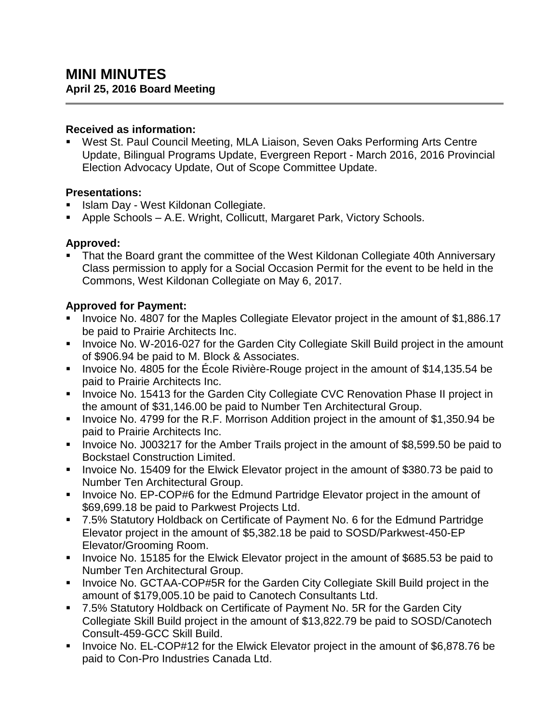#### **Received as information:**

 West St. Paul Council Meeting, MLA Liaison, Seven Oaks Performing Arts Centre Update, Bilingual Programs Update, Evergreen Report - March 2016, 2016 Provincial Election Advocacy Update, Out of Scope Committee Update.

#### **Presentations:**

- Islam Day West Kildonan Collegiate.
- Apple Schools A.E. Wright, Collicutt, Margaret Park, Victory Schools.

## **Approved:**

 That the Board grant the committee of the West Kildonan Collegiate 40th Anniversary Class permission to apply for a Social Occasion Permit for the event to be held in the Commons, West Kildonan Collegiate on May 6, 2017.

## **Approved for Payment:**

- Invoice No. 4807 for the Maples Collegiate Elevator project in the amount of \$1,886.17 be paid to Prairie Architects Inc.
- **IDED** Invoice No. W-2016-027 for the Garden City Collegiate Skill Build project in the amount of \$906.94 be paid to M. Block & Associates.
- Invoice No. 4805 for the École Rivière-Rouge project in the amount of \$14,135.54 be paid to Prairie Architects Inc.
- **IDED** Invoice No. 15413 for the Garden City Collegiate CVC Renovation Phase II project in the amount of \$31,146.00 be paid to Number Ten Architectural Group.
- Invoice No. 4799 for the R.F. Morrison Addition project in the amount of \$1,350.94 be paid to Prairie Architects Inc.
- Invoice No. J003217 for the Amber Trails project in the amount of \$8,599.50 be paid to Bockstael Construction Limited.
- Invoice No. 15409 for the Elwick Elevator project in the amount of \$380.73 be paid to Number Ten Architectural Group.
- **Invoice No. EP-COP#6 for the Edmund Partridge Elevator project in the amount of** \$69,699.18 be paid to Parkwest Projects Ltd.
- 7.5% Statutory Holdback on Certificate of Payment No. 6 for the Edmund Partridge Elevator project in the amount of \$5,382.18 be paid to SOSD/Parkwest-450-EP Elevator/Grooming Room.
- Invoice No. 15185 for the Elwick Elevator project in the amount of \$685.53 be paid to Number Ten Architectural Group.
- **Invoice No. GCTAA-COP#5R for the Garden City Collegiate Skill Build project in the** amount of \$179,005.10 be paid to Canotech Consultants Ltd.
- 7.5% Statutory Holdback on Certificate of Payment No. 5R for the Garden City Collegiate Skill Build project in the amount of \$13,822.79 be paid to SOSD/Canotech Consult-459-GCC Skill Build.
- **Invoice No. EL-COP#12 for the Elwick Elevator project in the amount of \$6,878.76 be** paid to Con-Pro Industries Canada Ltd.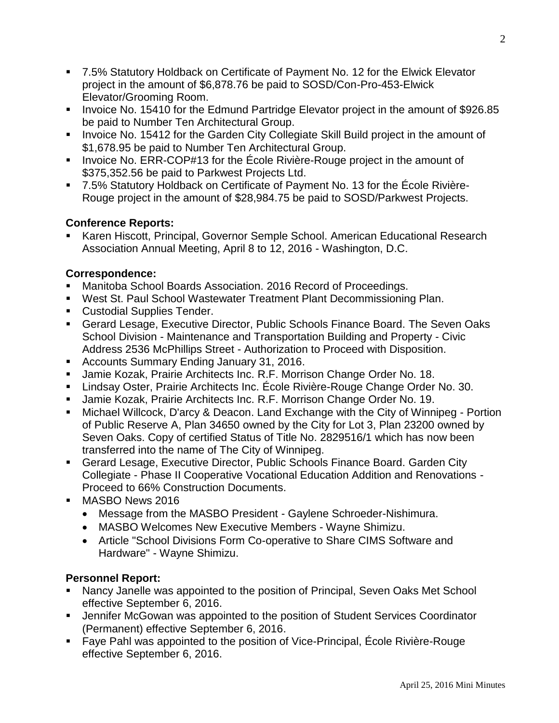- 7.5% Statutory Holdback on Certificate of Payment No. 12 for the Elwick Elevator project in the amount of \$6,878.76 be paid to SOSD/Con-Pro-453-Elwick Elevator/Grooming Room.
- Invoice No. 15410 for the Edmund Partridge Elevator project in the amount of \$926.85 be paid to Number Ten Architectural Group.
- **Invoice No. 15412 for the Garden City Collegiate Skill Build project in the amount of** \$1,678.95 be paid to Number Ten Architectural Group.
- Invoice No. ERR-COP#13 for the École Rivière-Rouge project in the amount of \$375,352.56 be paid to Parkwest Projects Ltd.
- 7.5% Statutory Holdback on Certificate of Payment No. 13 for the École Rivière-Rouge project in the amount of \$28,984.75 be paid to SOSD/Parkwest Projects.

## **Conference Reports:**

 Karen Hiscott, Principal, Governor Semple School. American Educational Research Association Annual Meeting, April 8 to 12, 2016 - Washington, D.C.

## **Correspondence:**

- Manitoba School Boards Association. 2016 Record of Proceedings.
- **West St. Paul School Wastewater Treatment Plant Decommissioning Plan.**
- **Custodial Supplies Tender.**
- Gerard Lesage, Executive Director, Public Schools Finance Board. The Seven Oaks School Division - Maintenance and Transportation Building and Property - Civic Address 2536 McPhillips Street - Authorization to Proceed with Disposition.
- **Accounts Summary Ending January 31, 2016.**
- **Jamie Kozak, Prairie Architects Inc. R.F. Morrison Change Order No. 18.**
- Lindsay Oster, Prairie Architects Inc. École Rivière-Rouge Change Order No. 30.
- Jamie Kozak, Prairie Architects Inc. R.F. Morrison Change Order No. 19.
- Michael Willcock, D'arcy & Deacon. Land Exchange with the City of Winnipeg Portion of Public Reserve A, Plan 34650 owned by the City for Lot 3, Plan 23200 owned by Seven Oaks. Copy of certified Status of Title No. 2829516/1 which has now been transferred into the name of The City of Winnipeg.
- Gerard Lesage, Executive Director, Public Schools Finance Board. Garden City Collegiate - Phase II Cooperative Vocational Education Addition and Renovations - Proceed to 66% Construction Documents.
- **MASBO News 2016** 
	- Message from the MASBO President Gaylene Schroeder-Nishimura.
	- MASBO Welcomes New Executive Members Wayne Shimizu.
	- Article "School Divisions Form Co-operative to Share CIMS Software and Hardware" - Wayne Shimizu.

# **Personnel Report:**

- Nancy Janelle was appointed to the position of Principal, Seven Oaks Met School effective September 6, 2016.
- Jennifer McGowan was appointed to the position of Student Services Coordinator (Permanent) effective September 6, 2016.
- Faye Pahl was appointed to the position of Vice-Principal, École Rivière-Rouge effective September 6, 2016.